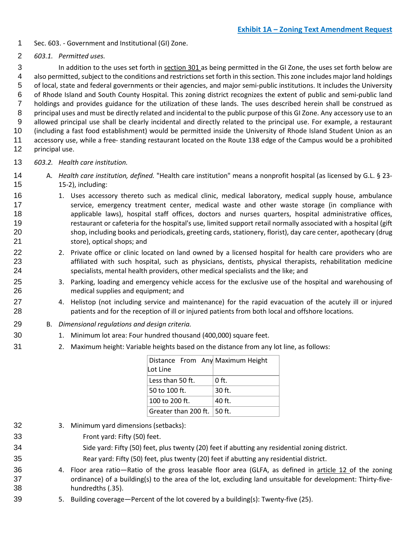- Sec. 603. Government and Institutional (GI) Zone.
- *603.1. Permitted uses.*

 In addition to the uses set forth in section 301 as being permitted in the GI Zone, the uses set forth below are also permitted, subject to the conditions and restrictions set forth in this section. This zone includes major land holdings of local, state and federal governments or their agencies, and major semi-public institutions. It includes the University of Rhode Island and South County Hospital. This zoning district recognizes the extent of public and semi-public land holdings and provides guidance for the utilization of these lands. The uses described herein shall be construed as principal uses and must be directly related and incidental to the public purpose of this GI Zone. Any accessory use to an allowed principal use shall be clearly incidental and directly related to the principal use. For example, a restaurant (including a fast food establishment) would be permitted inside the University of Rhode Island Student Union as an accessory use, while a free- standing restaurant located on the Route 138 edge of the Campus would be a prohibited principal use.

- *603.2. Health care institution.*
- A. *Health care institution, defined.* "Health care institution" means a nonprofit hospital (as licensed by G.L. § 23- 15-2), including:
- 16 1. Uses accessory thereto such as medical clinic, medical laboratory, medical supply house, ambulance 17 service, emergency treatment center, medical waste and other waste storage (in compliance with applicable laws), hospital staff offices, doctors and nurses quarters, hospital administrative offices, restaurant or cafeteria for the hospital's use, limited support retail normally associated with a hospital (gift shop, including books and periodicals, greeting cards, stationery, florist), day care center, apothecary (drug store), optical shops; and
- 22 2. Private office or clinic located on land owned by a licensed hospital for health care providers who are affiliated with such hospital, such as physicians, dentists, physical therapists, rehabilitation medicine specialists, mental health providers, other medical specialists and the like; and
- 3. Parking, loading and emergency vehicle access for the exclusive use of the hospital and warehousing of medical supplies and equipment; and
- 4. Helistop (not including service and maintenance) for the rapid evacuation of the acutely ill or injured patients and for the reception of ill or injured patients from both local and offshore locations.
- B. *Dimensional regulations and design criteria.*
- 1. Minimum lot area: Four hundred thousand (400,000) square feet.
- 2. Maximum height: Variable heights based on the distance from any lot line, as follows:

| Distance From Any Maximum Height<br>Lot Line |          |
|----------------------------------------------|----------|
| Less than 50 ft.                             | $0$ ft.  |
| 50 to 100 ft.                                | $30$ ft. |
| 100 to 200 ft.                               | 40 ft.   |
| Greater than 200 ft. $\vert$ 50 ft.          |          |

- 3. Minimum yard dimensions (setbacks):
- Front yard: Fifty (50) feet.
	- Side yard: Fifty (50) feet, plus twenty (20) feet if abutting any residential zoning district.
- Rear yard: Fifty (50) feet, plus twenty (20) feet if abutting any residential district.
- 36 4. Floor area ratio—Ratio of the gross leasable floor area (GLFA, as defined in article 12 of the zoning 37 ordinance) of a building(s) to the area of the lot, excluding land unsuitable for development: Thirty-five-hundredths (.35).
- 5. Building coverage—Percent of the lot covered by a building(s): Twenty-five (25).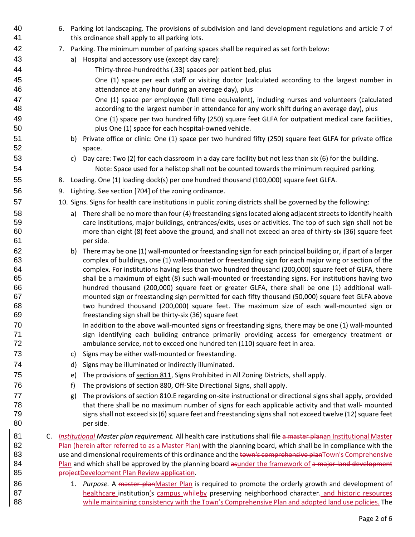40 6. Parking lot landscaping. The provisions of subdivision and land development regulations and article 7 of this ordinance shall apply to all parking lots. 7. Parking. The minimum number of parking spaces shall be required as set forth below: a) Hospital and accessory use (except day care): Thirty-three-hundredths (.33) spaces per patient bed, plus One (1) space per each staff or visiting doctor (calculated according to the largest number in attendance at any hour during an average day), plus One (1) space per employee (full time equivalent), including nurses and volunteers (calculated according to the largest number in attendance for any work shift during an average day), plus One (1) space per two hundred fifty (250) square feet GLFA for outpatient medical care facilities, plus One (1) space for each hospital-owned vehicle. b) Private office or clinic: One (1) space per two hundred fifty (250) square feet GLFA for private office space. c) Day care: Two (2) for each classroom in a day care facility but not less than six (6) for the building. 54 Note: Space used for a helistop shall not be counted towards the minimum required parking. 8. Loading. One (1) loading dock(s) per one hundred thousand (100,000) square feet GLFA. 9. Lighting. See section [704] of the zoning ordinance. 10. Signs. Signs for health care institutions in public zoning districts shall be governed by the following: a) There shall be no more than four (4) freestanding signs located along adjacent streets to identify health care institutions, major buildings, entrances/exits, uses or activities. The top of such sign shall not be more than eight (8) feet above the ground, and shall not exceed an area of thirty-six (36) square feet per side. b) There may be one (1) wall-mounted or freestanding sign for each principal building or, if part of a larger complex of buildings, one (1) wall-mounted or freestanding sign for each major wing or section of the complex. For institutions having less than two hundred thousand (200,000) square feet of GLFA, there shall be a maximum of eight (8) such wall-mounted or freestanding signs. For institutions having two hundred thousand (200,000) square feet or greater GLFA, there shall be one (1) additional wall- mounted sign or freestanding sign permitted for each fifty thousand (50,000) square feet GLFA above two hundred thousand (200,000) square feet. The maximum size of each wall-mounted sign or freestanding sign shall be thirty-six (36) square feet 70 In addition to the above wall-mounted signs or freestanding signs, there may be one (1) wall-mounted 71 sign identifying each building entrance primarily providing access for emergency treatment or ambulance service, not to exceed one hundred ten (110) square feet in area. c) Signs may be either wall-mounted or freestanding. d) Signs may be illuminated or indirectly illuminated. e) The provisions of section 811, Signs Prohibited in All Zoning Districts, shall apply. f) The provisions of section 880, Off-Site Directional Signs, shall apply. g) The provisions of section 810.E regarding on-site instructional or directional signs shall apply, provided that there shall be no maximum number of signs for each applicable activity and that wall- mounted signs shall not exceed six (6) square feet and freestanding signs shall not exceed twelve (12) square feet per side. C. *Institutional Master plan requirement.* All health care institutions shall file a master planan Institutional Master 82 Plan (herein after referred to as a Master Plan) with the planning board, which shall be in compliance with the 83 use and dimensional requirements of this ordinance and the town's comprehensive planTown's Comprehensive 84 Plan and which shall be approved by the planning board asunder the framework of a major land development **projectDevelopment Plan Review application**. 86 1. *Purpose.* A master planMaster Plan is required to promote the orderly growth and development of 87 healthcare institution's campus whileby preserving neighborhood character- and historic resources while maintaining consistency with the Town's Comprehensive Plan and adopted land use policies. The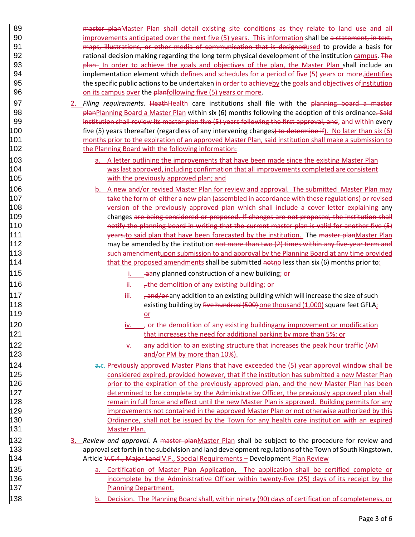89 master planMaster Plan shall detail existing site conditions as they relate to land use and all 90 improvements anticipated over the next five (5) years. This information shall be a statement, in text, **maps, illustrations, or other media of communication that is designedused** to provide a basis for 92 rational decision making regarding the long term physical development of the institution campus. The **plan** In order to achieve the goals and objectives of the plan, the Master Plan shall include an 94 implementation element which defines and schedules for a period of five (5) years or more, identifies 95 the specific public actions to be undertaken in order to achieveby the goals and objectives of institution **Samuel Compus on its campus over the planfollowing five (5) years or more.** 

- 2. *Filing requirements.* HeathHealth care institutions shall file with the planning board a master **planPlanning Board a Master Plan within six (6) months following the adoption of this ordinance. Said-**99 institution shall review its master plan five (5) years following the first approval, and, and within every 100 five (5) years thereafter (regardless of any intervening changes) to determine if). No later than six (6) months prior to the expiration of an approved Master Plan, said institution shall make a submission to 102 the Planning Board with the following information:
- **a.** A letter outlining the improvements that have been made since the existing Master Plan was last approved, including confirmation that all improvements completed are consistent with the previously approved plan; and
- b. A new and/or revised Master Plan for review and approval. The submitted Master Plan may 107 take the form of either a new plan (assembled in accordance with these regulations) or revised **108** version of the previously approved plan which shall include a cover letter explaining any changes are being considered or proposed. If changes are not proposed, the institution shall 110 10 **notify the planning board in writing that the current master plan is valid for another five (5)** 111 11 vearsto said plan that have been forecasted by the institution. The master planMaster Plan 112 may be amended by the institution not more than two (2) times within any five-year term and **Such amendmentupon submission to and approval by the Planning Board at any time provided that the proposed amendments shall be submitted noticless than six (6) months prior to:**
- **i.** aany planned construction of a new building; or
- 116 **ii.**  $\frac{1}{2}$  the demolition of any existing building; or
- 117 iii.  $,$  and/or any addition to an existing building which will increase the size of such **10** existing building by five hundred (500) one thousand (1,000) square feet GFLA; 119 or the contract of the contract of the contract of the contract of the contract of the contract of the con
- 120 **iv.**  $\frac{1}{20}$  iv.  $\frac{1}{20}$  for the demolition of any existing building any improvement or modification that increases the need for additional parking by more than 5%; or
- v. any addition to an existing structure that increases the peak hour traffic (AM and/or PM by more than 10%).

**a.c. Previously approved Master Plans that have exceeded the (5) year approval window shall be**  considered expired, provided however, that if the institution has submitted a new Master Plan **prior to the expiration of the previously approved plan, and the new Master Plan has been**  determined to be complete by the Administrative Officer, the previously approved plan shall **128** remain in full force and effect until the new Master Plan is approved. Building permits for any improvements not contained in the approved Master Plan or not otherwise authorized by this **Ordinance, shall not be issued by the Town for any health care institution with an expired** 131 Master Plan.

- 3. *Review and approval.* A master planMaster Plan shall be subject to the procedure for review and approval set forth in the subdivision and land development regulations of the Town of South Kingstown, **Article V.C.4., Major LandIV.F., Special Requirements – Development Plan Review**
- a. Certification of Master Plan Application. The application shall be certified complete or incomplete by the Administrative Officer within twenty-five (25) days of its receipt by the **Planning Department.**
- 138 b. Decision. The Planning Board shall, within ninety (90) days of certification of completeness, or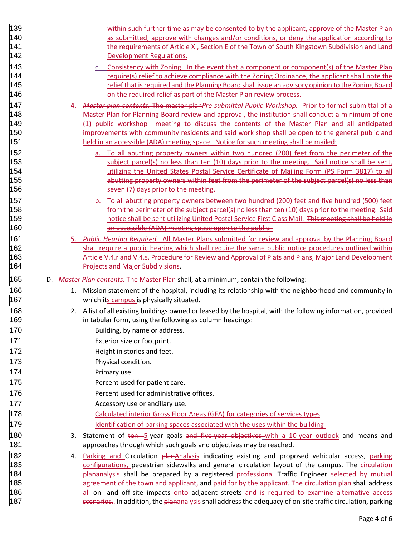| 139        |    | within such further time as may be consented to by the applicant, approve of the Master Plan                                                                                                                                  |
|------------|----|-------------------------------------------------------------------------------------------------------------------------------------------------------------------------------------------------------------------------------|
| 140        |    | as submitted, approve with changes and/or conditions, or deny the application according to                                                                                                                                    |
| 141        |    | the requirements of Article XI, Section E of the Town of South Kingstown Subdivision and Land                                                                                                                                 |
| 142        |    | Development Regulations.                                                                                                                                                                                                      |
| 143        |    | c. Consistency with Zoning. In the event that a component or component(s) of the Master Plan                                                                                                                                  |
| 144        |    | require(s) relief to achieve compliance with the Zoning Ordinance, the applicant shall note the                                                                                                                               |
| 145        |    | relief that is required and the Planning Board shall issue an advisory opinion to the Zoning Board                                                                                                                            |
| 146        |    | on the required relief as part of the Master Plan review process.                                                                                                                                                             |
| 147        |    | Master plan contents. The master planPre-submittal Public Workshop. Prior to formal submittal of a                                                                                                                            |
| 148        |    |                                                                                                                                                                                                                               |
|            |    | Master Plan for Planning Board review and approval, the institution shall conduct a minimum of one                                                                                                                            |
| 149<br>150 |    | (1) public workshop meeting to discuss the contents of the Master Plan and all anticipated                                                                                                                                    |
| 151        |    | improvements with community residents and said work shop shall be open to the general public and<br>held in an accessible (ADA) meeting space. Notice for such meeting shall be mailed:                                       |
|            |    |                                                                                                                                                                                                                               |
| 152        |    | a. To all abutting property owners within two hundred (200) feet from the perimeter of the                                                                                                                                    |
| 153        |    | subject parcel(s) no less than ten (10) days prior to the meeting. Said notice shall be sent,                                                                                                                                 |
| 154        |    | utilizing the United States Postal Service Certificate of Mailing Form (PS Form 3817)-to-all                                                                                                                                  |
| 155        |    | abutting property owners within feet from the perimeter of the subject parcel(s) no less than                                                                                                                                 |
| 156        |    | seven (7) days prior to the meeting.                                                                                                                                                                                          |
| 157        |    | b. To all abutting property owners between two hundred (200) feet and five hundred (500) feet                                                                                                                                 |
| 158        |    | from the perimeter of the subject parcel(s) no less than ten (10) days prior to the meeting. Said                                                                                                                             |
| 159        |    | notice shall be sent utilizing United Postal Service First Class Mail. This meeting shall be held in                                                                                                                          |
| 160        |    | an accessible (ADA) meeting space open to the public.                                                                                                                                                                         |
| 161        |    | Public Hearing Required. All Master Plans submitted for review and approval by the Planning Board                                                                                                                             |
| 162        |    | shall require a public hearing which shall require the same public notice procedures outlined within                                                                                                                          |
| 163        |    | Article V.4.r and V.4.s, Procedure for Review and Approval of Plats and Plans, Major Land Development                                                                                                                         |
|            |    |                                                                                                                                                                                                                               |
| 164        |    | <b>Projects and Major Subdivisions.</b>                                                                                                                                                                                       |
| 165        |    | D. Master Plan contents. The Master Plan shall, at a minimum, contain the following:                                                                                                                                          |
| 166        | 1. | Mission statement of the hospital, including its relationship with the neighborhood and community in                                                                                                                          |
| 167        |    | which its campus is physically situated.                                                                                                                                                                                      |
|            |    |                                                                                                                                                                                                                               |
| 168        |    | 2. A list of all existing buildings owned or leased by the hospital, with the following information, provided                                                                                                                 |
| 169        |    | in tabular form, using the following as column headings:                                                                                                                                                                      |
| 170        |    | Building, by name or address.                                                                                                                                                                                                 |
| 171        |    | Exterior size or footprint.                                                                                                                                                                                                   |
| 172        |    | Height in stories and feet.                                                                                                                                                                                                   |
| 173        |    | Physical condition.                                                                                                                                                                                                           |
| 174        |    | Primary use.                                                                                                                                                                                                                  |
| 175        |    | Percent used for patient care.                                                                                                                                                                                                |
| 176        |    | Percent used for administrative offices.                                                                                                                                                                                      |
| 177        |    |                                                                                                                                                                                                                               |
|            |    | Accessory use or ancillary use.                                                                                                                                                                                               |
| 178        |    | Calculated interior Gross Floor Areas (GFA) for categories of services types                                                                                                                                                  |
| 179        |    | Identification of parking spaces associated with the uses within the building                                                                                                                                                 |
| 180        |    | 3. Statement of ten-5-year goals and five-year objectives with a 10-year outlook and means and                                                                                                                                |
| 181        |    | approaches through which such goals and objectives may be reached.                                                                                                                                                            |
| 182        | 4. | Parking and Circulation planAnalysis indicating existing and proposed vehicular access, parking                                                                                                                               |
| 183        |    | configurations, pedestrian sidewalks and general circulation layout of the campus. The circulation                                                                                                                            |
| 184        |    | plananalysis shall be prepared by a registered professional Traffic Engineer selected by mutual                                                                                                                               |
| 185        |    | agreement of the town and applicant, and paid for by the applicant. The circulation plan-shall address                                                                                                                        |
| 186<br>187 |    | all on- and off-site impacts onto adjacent streets and is required to examine alternative access<br>scenarios <sub>2</sub> . In addition, the plananalysis shall address the adequacy of on-site traffic circulation, parking |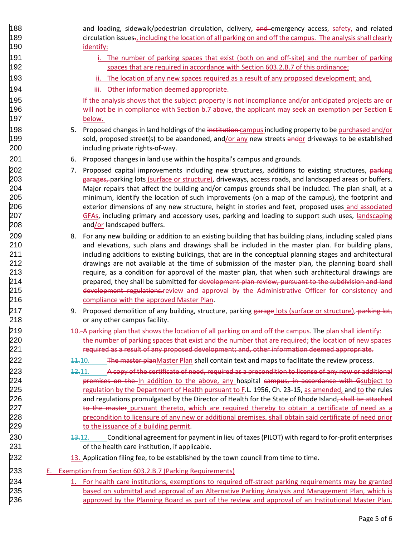| 188 |    | and loading, sidewalk/pedestrian circulation, delivery, and emergency access, safety, and related                       |
|-----|----|-------------------------------------------------------------------------------------------------------------------------|
| 189 |    | circulation issues-, including the location of all parking on and off the campus. The analysis shall clearly            |
| 190 |    | identify:                                                                                                               |
| 191 |    | i. The number of parking spaces that exist (both on and off-site) and the number of parking                             |
| 192 |    | spaces that are required in accordance with Section 603.2.B.7 of this ordinance;                                        |
| 193 |    | ii. The location of any new spaces required as a result of any proposed development; and,                               |
| 194 |    | iii. Other information deemed appropriate.                                                                              |
| 195 |    | If the analysis shows that the subject property is not incompliance and/or anticipated projects are or                  |
| 196 |    | will not be in compliance with Section b.7 above, the applicant may seek an exemption per Section E                     |
| 197 |    | below.                                                                                                                  |
| 198 |    | 5. Proposed changes in land holdings of the institution-campus including property to be purchased and/or                |
| 199 |    | sold, proposed street(s) to be abandoned, and/or any new streets andor driveways to be established                      |
| 200 |    | including private rights-of-way.                                                                                        |
| 201 |    | 6. Proposed changes in land use within the hospital's campus and grounds.                                               |
| 202 | 7. | Proposed capital improvements including new structures, additions to existing structures, parking                       |
| 203 |    | garages, parking lots (surface or structure), driveways, access roads, and landscaped areas or buffers.                 |
| 204 |    | Major repairs that affect the building and/or campus grounds shall be included. The plan shall, at a                    |
| 205 |    | minimum, identify the location of such improvements (on a map of the campus), the footprint and                         |
| 206 |    | exterior dimensions of any new structure, height in stories and feet, proposed uses and associated                      |
| 207 |    | GFAs, including primary and accessory uses, parking and loading to support such uses, landscaping                       |
| 208 |    | and/or landscaped buffers.                                                                                              |
| 209 |    | 8. For any new building or addition to an existing building that has building plans, including scaled plans             |
| 210 |    | and elevations, such plans and drawings shall be included in the master plan. For building plans,                       |
| 211 |    | including additions to existing buildings, that are in the conceptual planning stages and architectural                 |
| 212 |    | drawings are not available at the time of submission of the master plan, the planning board shall                       |
| 213 |    | require, as a condition for approval of the master plan, that when such architectural drawings are                      |
| 214 |    | prepared, they shall be submitted for development plan review, pursuant to the subdivision and land                     |
| 215 |    | development regulations.review and approval by the Administrative Officer for consistency and                           |
| 216 |    | compliance with the approved Master Plan.                                                                               |
| 217 | 9. | Proposed demolition of any building, structure, parking garage lots (surface or structure), parking lot,                |
| 218 |    | or any other campus facility.                                                                                           |
| 219 |    | 10. A parking plan that shows the location of all parking on and off the campus. The plan shall identify:               |
| 220 |    | the number of parking spaces that exist and the number that are required; the location of new spaces                    |
| 221 |    | required as a result of any proposed development; and, other information deemed appropriate.                            |
| 222 |    | 11.10. The master plan Master Plan shall contain text and maps to facilitate the review process.                        |
| 223 |    | A copy of the certificate of need, required as a precondition to license of any new or additional<br><del>12.</del> 11. |
| 224 |    | premises on the In addition to the above, any hospital campus, in accordance with Gsubject to                           |
| 225 |    | regulation by the Department of Health pursuant to F.L. 1956, Ch. 23-15, as amended, and to the rules                   |
| 226 |    | and regulations promulgated by the Director of Health for the State of Rhode Island, shall be attached                  |
| 227 |    | to the master pursuant thereto, which are required thereby to obtain a certificate of need as a                         |
| 228 |    | precondition to licensure of any new or additional premises, shall obtain said certificate of need prior                |
| 229 |    | to the issuance of a building permit.                                                                                   |
| 230 |    | Conditional agreement for payment in lieu of taxes (PILOT) with regard to for-profit enterprises<br>43.12.              |
| 231 |    | of the health care institution, if applicable.                                                                          |
| 232 |    | 13. Application filing fee, to be established by the town council from time to time.                                    |
| 233 |    | E. Exemption from Section 603.2.B.7 (Parking Requirements)                                                              |
| 234 |    | For health care institutions, exemptions to required off-street parking requirements may be granted                     |
| 235 |    | based on submittal and approval of an Alternative Parking Analysis and Management Plan, which is                        |
| 236 |    | approved by the Planning Board as part of the review and approval of an Institutional Master Plan.                      |